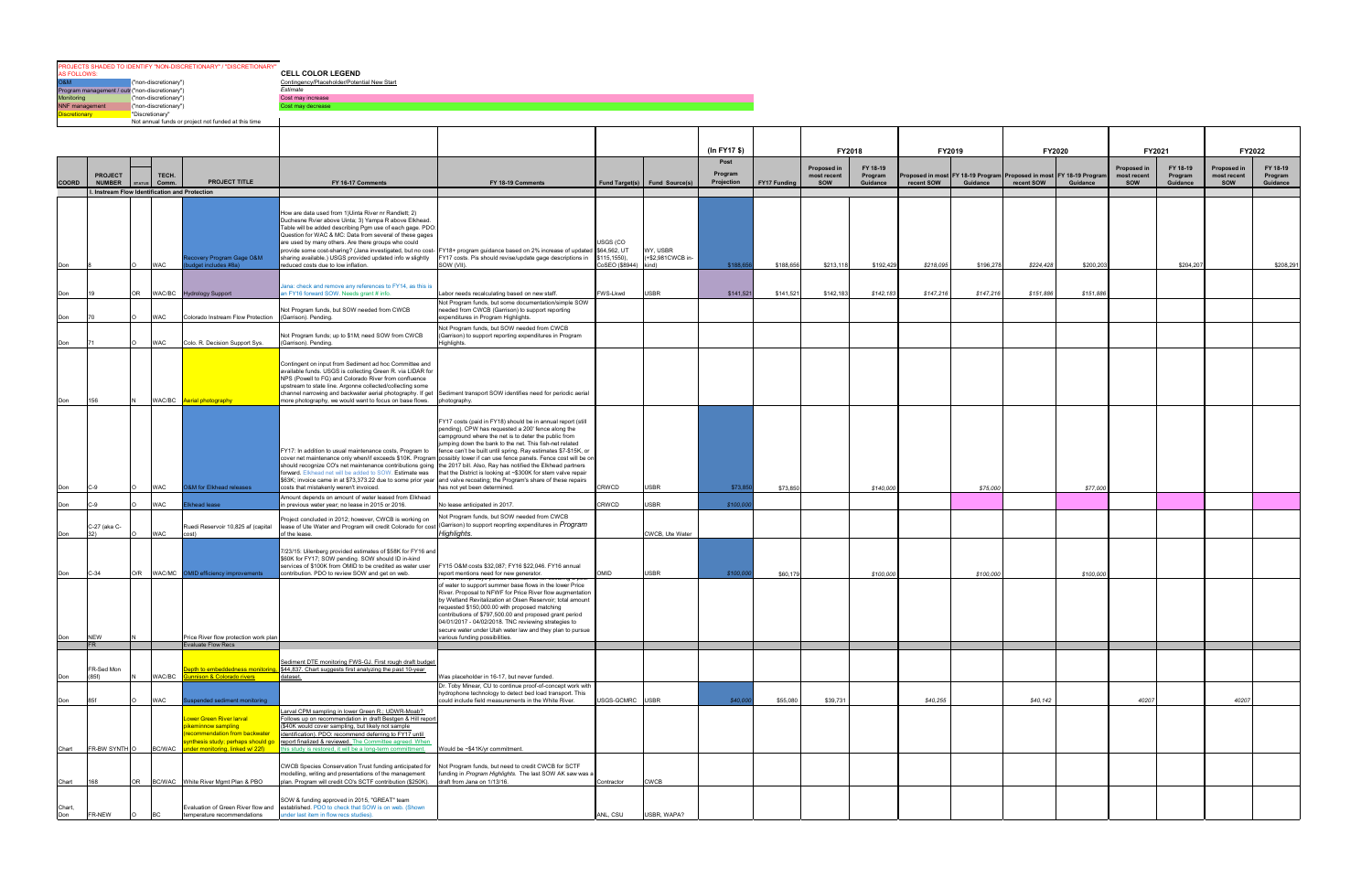**CELL COLOR LEGEND**<br>
<u>Contingency/Piaceholder/Potential New Start</u><br> *Estimate*<br>
Cost may increase<br>
Cost may decrease OSM<br>
Contingency/Placeholder/Potential New Start<br>
Program management / out ("non-discretionary")<br>
Monitoring ("non-discretionary")<br>
Discretionary ("Discretionary")<br>
Discretionary ("Discretionary")<br>
Discretionary ("Discreti PROJECTS SHADED TO IDENTIFY "NON-DISCRETIONARY" / "DISCRETIONARY" AS FOLLOWS:

|               |                     |                                                        |                                                                                                                                                         |                                                                                                                                                                                                                                                                                                                                                                                                                                                                                |                                                                                                                                                                                                                                                                                                                                                                                                                                                                  |                                                 |                               | (In FY17 \$)    |              | FY2018                     |                     | FY2019     |           |                                                                                      |           |                                   | FY2021              | FY2022                     |                     |
|---------------|---------------------|--------------------------------------------------------|---------------------------------------------------------------------------------------------------------------------------------------------------------|--------------------------------------------------------------------------------------------------------------------------------------------------------------------------------------------------------------------------------------------------------------------------------------------------------------------------------------------------------------------------------------------------------------------------------------------------------------------------------|------------------------------------------------------------------------------------------------------------------------------------------------------------------------------------------------------------------------------------------------------------------------------------------------------------------------------------------------------------------------------------------------------------------------------------------------------------------|-------------------------------------------------|-------------------------------|-----------------|--------------|----------------------------|---------------------|------------|-----------|--------------------------------------------------------------------------------------|-----------|-----------------------------------|---------------------|----------------------------|---------------------|
|               | <b>PROJECT</b>      | TECH.                                                  |                                                                                                                                                         |                                                                                                                                                                                                                                                                                                                                                                                                                                                                                |                                                                                                                                                                                                                                                                                                                                                                                                                                                                  |                                                 |                               | Post<br>Program |              | Proposed in<br>most recent | FY 18-19<br>Program |            |           | <b>FY2020</b><br>Proposed in most FY 18-19 Program Proposed in most FY 18-19 Progran |           | <b>Proposed in</b><br>most recent | FY 18-19<br>Program | Proposed in<br>most recent | FY 18-19<br>Program |
| COORD         | <b>NUMBER</b>       | Comm<br>I. Instream Flow Identification and Protection | <b>PROJECT TITLE</b>                                                                                                                                    | FY 16-17 Comments                                                                                                                                                                                                                                                                                                                                                                                                                                                              | FY 18-19 Comments                                                                                                                                                                                                                                                                                                                                                                                                                                                |                                                 | Fund Target(s) Fund Source(s) | Projection      | FY17 Funding | sow                        | Guidance            | recent SOW | Guidance  | recent SOW                                                                           | Guidance  | <b>SOW</b>                        | Guidance            | <b>SOW</b>                 | Guidance            |
| Don           |                     | <b>WAC</b>                                             | covery Program Gage O&M<br>dget includes #8a)                                                                                                           | How are data used from 1) Uinta River nr Randlett; 2)<br>Duchesne Rvier above Uinta; 3) Yampa R above Elkhead.<br>Table will be added describing Pgm use of each gage. PDO:<br>Question for WAC & MC: Data from several of these gages<br>are used by many others. Are there groups who could<br>sharing available.) USGS provided updated info w slightly<br>reduced costs due to low inflation.                                                                              | provide some cost-sharing? (Jana investigated, but no cost- FY18+ program guidance based on 2% increase of updated \$64,562, UT<br>Y17 costs. Pis should revise/update gage descriptions in<br>SOW (VII).                                                                                                                                                                                                                                                        | USGS (CO<br>\$115,1550),<br>oSEO (\$8944) kind) | WY, USBR<br>(+\$2.981CWCB in- | \$188,6         | \$188,656    | \$213,118                  | \$192,429           | \$218,095  | \$196,278 | \$224,428                                                                            | \$200,20  |                                   | \$204,207           |                            | \$208,291           |
| Don           |                     | OR                                                     | WAC/BC Hydrology Support                                                                                                                                | Jana: check and remove any references to FY14, as this is<br>in FY16 forward SOW. Needs grant # info.                                                                                                                                                                                                                                                                                                                                                                          | Labor needs recalculating based on new staff.<br>Not Program funds, but some documentation/simple SOW                                                                                                                                                                                                                                                                                                                                                            | FWS-Lkwd                                        | <b>USBR</b>                   | \$141,521       | \$141,52     | \$142,183                  | \$142,183           | \$147,216  | \$147,216 | \$151,886                                                                            | \$151,88  |                                   |                     |                            |                     |
| Don           |                     | <b>WAC</b>                                             | Colorado Instream Flow Protection                                                                                                                       | Not Program funds, but SOW needed from CWCB<br>(Garrison). Pending.                                                                                                                                                                                                                                                                                                                                                                                                            | needed from CWCB (Garrison) to support reporting<br>xpenditures in Program Highlights.                                                                                                                                                                                                                                                                                                                                                                           |                                                 |                               |                 |              |                            |                     |            |           |                                                                                      |           |                                   |                     |                            |                     |
| l Don         |                     | <b>WAC</b>                                             | Colo. R. Decision Support Sys.                                                                                                                          | Not Program funds; up to \$1M; need SOW from CWCB<br>(Garrison). Pending.                                                                                                                                                                                                                                                                                                                                                                                                      | Not Program funds, but SOW needed from CWCB<br>Garrison) to support reporting expenditures in Program<br>Highlights.                                                                                                                                                                                                                                                                                                                                             |                                                 |                               |                 |              |                            |                     |            |           |                                                                                      |           |                                   |                     |                            |                     |
| Don           | 156                 |                                                        | WAC/BC Aerial photography                                                                                                                               | Contingent on input from Sediment ad hoc Committee and<br>available funds. USGS is collecting Green R. via LIDAR for<br>NPS (Powell to FG) and Colorado River from confluence<br>upstream to state line. Argonne collected/collecting some<br>channel narrowing and backwater aerial photography. If get Sediment transport SOW identifies need for periodic aerial<br>more photography, we would want to focus on base flows. photography.                                    |                                                                                                                                                                                                                                                                                                                                                                                                                                                                  |                                                 |                               |                 |              |                            |                     |            |           |                                                                                      |           |                                   |                     |                            |                     |
| Don           | C-9                 | <b>WAC</b>                                             | <b>O&amp;M</b> for Elkhead releases                                                                                                                     | FY17: In addition to usual maintenance costs, Program to<br>should recognize CO's net maintenance contributions going the 2017 bill. Also, Ray has notified the Elkhead partners<br>forward. Elkhead net will be added to SOW. Estimate was that the District is looking at ~\$300K for stem valve repair<br>\$63K; invoice came in at \$73,373.22 due to some prior year and valve recoating; the Program's share of these repairs<br>costs that mistakenly weren't invoiced. | FY17 costs (paid in FY18) should be in annual report (still<br>pending). CPW has requested a 200' fence along the<br>campground where the net is to deter the public from<br>umping down the bank to the net. This fish-net related<br>fence can't be built until spring. Ray estimates \$7-\$15K, or<br>cover net maintenance only when/if exceeds \$10K. Program possibly lower if can use fence panels. Fence cost will be on<br>has not yet been determined. | <b>CRWCD</b>                                    | USBR                          | \$73,8          | \$73.85      |                            | \$140,00            |            | \$75,00   |                                                                                      | \$77,00   |                                   |                     |                            |                     |
| Don           | -9                  | <b>WAC</b>                                             | Ikhead lease                                                                                                                                            | Amount depends on amount of water leased from Elkhead<br>in previous water year; no lease in 2015 or 2016.                                                                                                                                                                                                                                                                                                                                                                     | No lease anticipated in 2017.                                                                                                                                                                                                                                                                                                                                                                                                                                    | CRWCD                                           | <b>JSBR</b>                   | \$100.00        |              |                            |                     |            |           |                                                                                      |           |                                   |                     |                            |                     |
|               | C-27 (aka C-<br>32) | <b>WAC</b>                                             | Ruedi Reservoir 10,825 af (capital<br>cost)                                                                                                             | roject concluded in 2012; however, CWCB is working on<br>lease of Ute Water and Program will credit Colorado for cost (Garrison) to support reoprting expenditures in Program<br>f the lease.                                                                                                                                                                                                                                                                                  | Vot Program funds, but SOW needed from CWCB<br>lighlights.                                                                                                                                                                                                                                                                                                                                                                                                       |                                                 | CWCB, Ute Water               |                 |              |                            |                     |            |           |                                                                                      |           |                                   |                     |                            |                     |
| Don           | $C-34$              | O/R                                                    | WAC/MC OMID efficiency improvements                                                                                                                     | 7/23/15: Uilenberg provided estimates of \$58K for FY16 and<br>\$60K for FY17; SOW pending. SOW should ID in-kind<br>services of \$100K from OMID to be credited as water user<br>contribution. PDO to review SOW and get on web.                                                                                                                                                                                                                                              | FY15 O&M costs \$32,087; FY16 \$22,046. FY16 annual<br>eport mentions need for new generator.                                                                                                                                                                                                                                                                                                                                                                    | <b>OIMC</b>                                     | <b>USBR</b>                   | \$100.00        | \$60,179     |                            | \$100,000           |            | \$100,000 |                                                                                      | \$100,000 |                                   |                     |                            |                     |
| Don           | <b>NEW</b>          |                                                        | Price River flow protection work plan                                                                                                                   |                                                                                                                                                                                                                                                                                                                                                                                                                                                                                | of water to support summer base flows in the lower Price<br>River. Proposal to NFWF for Price River flow augmentation<br>by Wetland Revitalization at Olsen Reservoir; total amount<br>equested \$150,000,00 with proposed matching<br>contributions of \$797,500.00 and proposed grant period<br>04/01/2017 - 04/02/2018. TNC reviewing strategies to<br>secure water under Utah water law and they plan to pursue<br>arious funding possibilities.             |                                                 |                               |                 |              |                            |                     |            |           |                                                                                      |           |                                   |                     |                            |                     |
|               |                     |                                                        | <b>Evaluate Flow Recs</b>                                                                                                                               |                                                                                                                                                                                                                                                                                                                                                                                                                                                                                |                                                                                                                                                                                                                                                                                                                                                                                                                                                                  |                                                 |                               |                 |              |                            |                     |            |           |                                                                                      |           |                                   |                     |                            |                     |
| Don           | FR-Sed Mon<br>(85f) | WAC/BC                                                 | epth to embeddedness monitorin<br>nnison & Colorado rivers                                                                                              | Sediment DTE monitoring FWS-GJ. First rough draft budget<br>\$44,837. Chart suggests first analyzing the past 10-year<br>dataset.                                                                                                                                                                                                                                                                                                                                              | Was placeholder in 16-17, but never funded.<br>Dr. Toby Minear, CU to continue proof-of-concept work with                                                                                                                                                                                                                                                                                                                                                        |                                                 |                               |                 |              |                            |                     |            |           |                                                                                      |           |                                   |                     |                            |                     |
| Don           |                     | <b>WAC</b>                                             | spended sediment monitoring                                                                                                                             |                                                                                                                                                                                                                                                                                                                                                                                                                                                                                | hydrophone technology to detect bed load transport. This<br>could include field measurements in the White River.                                                                                                                                                                                                                                                                                                                                                 | <b>JSGS-GCMRC</b>                               | <b>USBR</b>                   | \$40,00         | \$55,080     | \$39,731                   |                     | \$40,255   |           | \$40,142                                                                             |           | 40207                             |                     | 40207                      |                     |
| Chart         | FR-BW SYNTH O       | <b>BC/WAC</b>                                          | ower Green River larval<br>vikeminnow sampling<br>recommendation from backwater<br>ynthesis study; perhaps should go<br>nder monitoring, linked w/ 22f) | Larval CPM sampling in lower Green R.; UDWR-Moab?<br>Follows up on recommendation in draft Bestgen & Hill report<br>(\$40K would cover sampling, but likely not sample<br>identification). PDO: recommend deferring to FY17 until<br>report finalized & reviewed. The Committee agreed. When<br>his study is restored, it will be a long-term committment.                                                                                                                     | Would be ~\$41K/yr commitment.                                                                                                                                                                                                                                                                                                                                                                                                                                   |                                                 |                               |                 |              |                            |                     |            |           |                                                                                      |           |                                   |                     |                            |                     |
| Chart         | 168                 | OR                                                     | BC/WAC White River Mgmt Plan & PBO                                                                                                                      | CWCB Species Conservation Trust funding anticipated for Not Program funds, but need to credit CWCB for SCTF<br>modelling, writing and presentations of the management<br>plan. Program will credit CO's SCTF contribution (\$250K).                                                                                                                                                                                                                                            | funding in Program Highlights. The last SOW AK saw was a<br>draft from Jana on 1/13/16.                                                                                                                                                                                                                                                                                                                                                                          | Contractor                                      | <b>CWCB</b>                   |                 |              |                            |                     |            |           |                                                                                      |           |                                   |                     |                            |                     |
| Chart,<br>Don | FR-NEW              |                                                        | temperature recommendations                                                                                                                             | SOW & funding approved in 2015, "GREAT" team<br>Evaluation of Green River flow and established. PDO to check that SOW is on web. (Shown<br>nder last item in flow recs studies).                                                                                                                                                                                                                                                                                               |                                                                                                                                                                                                                                                                                                                                                                                                                                                                  | ANL, CSU                                        | USBR, WAPA?                   |                 |              |                            |                     |            |           |                                                                                      |           |                                   |                     |                            |                     |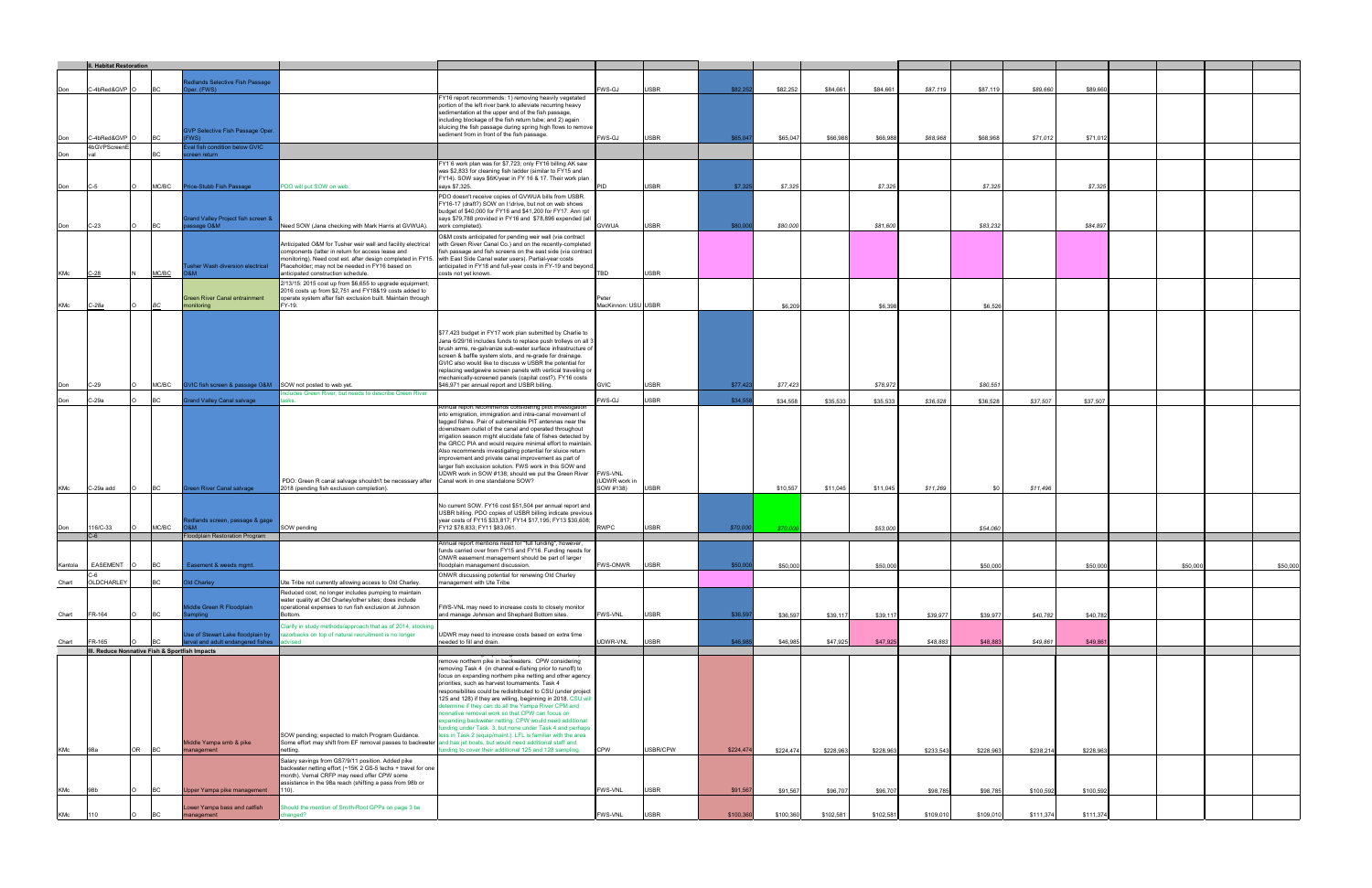|         | II. Habitat Restoration       |                                               |                                                                        |                                                                                                                                                                                                                                                                                                                                 |                                                                                                                                                                                                                                                                                                                                                                                                                                                                                                                                                                                                                                                                                                                       |                                             |             |           |           |           |           |           |            |           |           |          |          |
|---------|-------------------------------|-----------------------------------------------|------------------------------------------------------------------------|---------------------------------------------------------------------------------------------------------------------------------------------------------------------------------------------------------------------------------------------------------------------------------------------------------------------------------|-----------------------------------------------------------------------------------------------------------------------------------------------------------------------------------------------------------------------------------------------------------------------------------------------------------------------------------------------------------------------------------------------------------------------------------------------------------------------------------------------------------------------------------------------------------------------------------------------------------------------------------------------------------------------------------------------------------------------|---------------------------------------------|-------------|-----------|-----------|-----------|-----------|-----------|------------|-----------|-----------|----------|----------|
|         |                               |                                               | edlands Selective Fish Passage                                         |                                                                                                                                                                                                                                                                                                                                 |                                                                                                                                                                                                                                                                                                                                                                                                                                                                                                                                                                                                                                                                                                                       |                                             |             |           |           |           |           |           |            |           |           |          |          |
|         | -4bRed&GVP                    |                                               | per. (FWS)                                                             |                                                                                                                                                                                                                                                                                                                                 | Y16 report recommends: 1) removing heavily vegetated                                                                                                                                                                                                                                                                                                                                                                                                                                                                                                                                                                                                                                                                  | WS-GJ                                       | <b>USBR</b> | \$82,25   | \$82,252  | \$84,661  | \$84,661  | \$87,119  | \$87,119   | \$89,660  | \$89,660  |          |          |
|         | -4bRed&GVP                    |                                               | <b>GVP Selective Fish Passage Oper.</b>                                |                                                                                                                                                                                                                                                                                                                                 | portion of the left river bank to alleviate recurring heavy<br>sedimentation at the upper end of the fish passage,<br>including blockage of the fish return tube; and 2) again<br>sluicing the fish passage during spring high flows to remove<br>sediment from in front of the fish passage.                                                                                                                                                                                                                                                                                                                                                                                                                         | WS-GJ                                       | <b>ISBR</b> | \$65,047  |           |           |           |           |            |           |           |          |          |
|         | 4bGVPScreenE                  |                                               | WS).<br>val fish condition below GVIC                                  |                                                                                                                                                                                                                                                                                                                                 |                                                                                                                                                                                                                                                                                                                                                                                                                                                                                                                                                                                                                                                                                                                       |                                             |             |           | \$65,047  | \$66,988  | \$66,988  | \$68,968  | \$68,968   | \$71,012  | \$71,01   |          |          |
|         |                               |                                               | een return                                                             |                                                                                                                                                                                                                                                                                                                                 | FY1`6 work plan was for \$7,723; only FY16 billing AK saw                                                                                                                                                                                                                                                                                                                                                                                                                                                                                                                                                                                                                                                             |                                             |             |           |           |           |           |           |            |           |           |          |          |
| Don     | C-5                           | MC/BC                                         | rice-Stubb Fish Passage                                                | PDO will put SOW on web.                                                                                                                                                                                                                                                                                                        | was \$2,833 for cleaning fish ladder (similar to FY15 and<br>FY14). SOW says \$6K/year in FY 16 & 17. Their work plan<br>says \$7,325.                                                                                                                                                                                                                                                                                                                                                                                                                                                                                                                                                                                | ID                                          | <b>USBR</b> | \$7,32    | \$7,32    |           | \$7,325   |           | \$7,325    |           | \$7,325   |          |          |
| Don     | $C-23$                        |                                               | Grand Valley Project fish screen &<br>ssage O&M                        | leed SOW (Jana checking with Mark Harris at GVWUA).                                                                                                                                                                                                                                                                             | PDO doesn't receive copies of GVWUA bills from USBR.<br>FY16-17 (draft?) SOW on I:\drive, but not on web shows<br>budget of \$40,000 for FY16 and \$41,200 for FY17. Ann rpt<br>says \$79,788 provided in FY16 and \$78,896 expended (all<br>work completed).                                                                                                                                                                                                                                                                                                                                                                                                                                                         | <b>GVWUA</b>                                | <b>USBR</b> | \$80,00   | \$80,000  |           | \$81,600  |           | \$83,232   |           | \$84,897  |          |          |
| KMc     | $C-28$                        | MC/BC                                         | usher Wash diversion electrical<br>M&O                                 | Anticipated O&M for Tusher weir wall and facility electrical<br>components (latter in return for access lease and<br>monitoring). Need cost est. after design completed in FY15. with East Side Canal water users). Partial-year costs<br>Placeholder; may not be needed in FY16 based on<br>anticipated construction schedule. | O&M costs anticipated for pending weir wall (via contract<br>with Green River Canal Co.) and on the recently-completed<br>sh passage and fish screens on the east side (via contract<br>anticipated in FY18 and full-year costs in FY-19 and beyond;<br>costs not yet known.                                                                                                                                                                                                                                                                                                                                                                                                                                          | TBD                                         | USBR        |           |           |           |           |           |            |           |           |          |          |
| KMc     | C-28a                         |                                               | Green River Canal entrainment<br>monitoring                            | 2/13/15: 2015 cost up from \$6,655 to upgrade equipment;<br>2016 costs up from \$2,751 and FY18&19 costs added to<br>operate system after fish exclusion built. Maintain through<br>Y-19.                                                                                                                                       |                                                                                                                                                                                                                                                                                                                                                                                                                                                                                                                                                                                                                                                                                                                       | lacKinnon: USU USBR                         |             |           | \$6,20    |           | \$6,39    |           | \$6,526    |           |           |          |          |
| Don     | $C-29$                        | MC/BC                                         | GVIC fish screen & passage O&M SOW not posted to web yet.              |                                                                                                                                                                                                                                                                                                                                 | \$77,423 budget in FY17 work plan submitted by Charlie to<br>Jana 6/29/16 includes funds to replace push trolleys on all 3<br>brush arms, re-galvanize sub-water surface infrastructure of<br>screen & baffle system slots, and re-grade for drainage.<br>GVIC also would like to discuss w USBR the potential for<br>replacing wedgewire screen panels with vertical traveling or<br>mechanically-screened panels (capital cost?). FY16 costs<br>\$46,971 per annual report and USBR billing.                                                                                                                                                                                                                        | <b>GVIC</b>                                 | <b>USBR</b> | \$77,42   | \$77,423  |           | \$78,972  |           | \$80,551   |           |           |          |          |
| Don     | C-29a                         | <b>BC</b>                                     | rand Valley Canal salvage                                              | cludes Green River, but needs to describe Green River                                                                                                                                                                                                                                                                           |                                                                                                                                                                                                                                                                                                                                                                                                                                                                                                                                                                                                                                                                                                                       | WS-GJ                                       | <b>USBR</b> | \$34,55   | \$34,558  | \$35,533  | \$35,533  | \$36,528  | \$36,528   | \$37,507  | \$37,507  |          |          |
| KMc     | C-29a add                     | BC                                            | reen River Canal salvage                                               | PDO: Green R canal salvage shouldn't be necessary after Canal work in one standalone SOW?<br>2018 (pending fish exclusion completion).                                                                                                                                                                                          | nnual report recommends considering pilot investigatio<br>into emigration, immigration and intra-canal movement of<br>tagged fishes. Pair of submersible PIT antennas near the<br>downstream outlet of the canal and operated throughout<br>irrigation season might elucidate fate of fishes detected by<br>the GRCC PIA and would require minimal effort to maintain.<br>Also recommends investigating potential for sluice return<br>improvement and private canal improvement as part of<br>larger fish exclusion solution. FWS work in this SOW and<br>UDWR work in SOW #138; should we put the Green River                                                                                                       | <b>FWS-VNL</b><br>UDWR work in<br>SOW #138) | <b>USBR</b> |           | \$10,557  | \$11,045  | \$11,045  | \$11,269  | <b>\$0</b> | \$11,496  |           |          |          |
| Don     | 16/C-33                       | MC/BC                                         | dlands screen, passage & gage<br>M&0                                   | SOW pending                                                                                                                                                                                                                                                                                                                     | No current SOW. FY16 cost \$51,504 per annual report and<br>USBR billing. PDO copies of USBR billing indicate previous<br>year costs of FY15 \$33,817; FY14 \$17,195; FY13 \$30,608;<br>Y12 \$78,833; FY11 \$83,061.                                                                                                                                                                                                                                                                                                                                                                                                                                                                                                  | RWPC                                        | <b>USBR</b> | \$70,000  | \$70.0    |           | \$53,000  |           | \$54,060   |           |           |          |          |
|         | $C-6$                         |                                               | loodplain Restoration Program                                          |                                                                                                                                                                                                                                                                                                                                 | Annual report mentions need for "full funding", however,                                                                                                                                                                                                                                                                                                                                                                                                                                                                                                                                                                                                                                                              |                                             |             |           |           |           |           |           |            |           |           |          |          |
| Kantola | <b>EASEMENT</b><br>$\sqrt{ }$ | <b>BC</b>                                     | Easement & weeds mgmt.                                                 |                                                                                                                                                                                                                                                                                                                                 | funds carried over from FY15 and FY16. Funding needs for<br>ONWR easement management should be part of larger<br>floodplain management discussion.                                                                                                                                                                                                                                                                                                                                                                                                                                                                                                                                                                    | <b>FWS-ONWR</b>                             | <b>USBR</b> | \$50,000  | \$50,000  |           | \$50,000  |           | \$50,000   |           | \$50,000  | \$50,000 | \$50,000 |
| Chart   | OLDCHARLEY                    | <b>BC</b>                                     | Old Charley                                                            | Ute Tribe not currently allowing access to Old Charley.                                                                                                                                                                                                                                                                         | ONWR discussing potential for renewing Old Charley<br>management with Ute Tribe                                                                                                                                                                                                                                                                                                                                                                                                                                                                                                                                                                                                                                       |                                             |             |           |           |           |           |           |            |           |           |          |          |
| Chart   | FR-164                        | <b>BC</b>                                     | Middle Green R Floodplain<br>mpling                                    | Reduced cost; no longer includes pumping to maintain<br>water quality at Old Charley/other sites; does include<br>operational expenses to run fish exclusion at Johnson<br>Bottom.                                                                                                                                              | FWS-VNL may need to increase costs to closely monitor<br>and manage Johnson and Shephard Bottom sites.                                                                                                                                                                                                                                                                                                                                                                                                                                                                                                                                                                                                                | <b>FWS-VNL</b>                              | <b>USBR</b> | \$36,59   | \$36,597  | \$39,117  | \$39,11   | \$39,977  | \$39,977   | \$40,782  | \$40,782  |          |          |
| Chart   | FR-165                        | II. Reduce Nonnative Fish & Sportfish Impacts | Jse of Stewart Lake floodplain by<br>arval and adult endangered fishes | Clarify in study methods/approach that as of 2014, stocking<br>azorbacks on top of natural recruitment is no longer                                                                                                                                                                                                             | UDWR may need to increase costs based on extra time<br>eeded to fill and drain.                                                                                                                                                                                                                                                                                                                                                                                                                                                                                                                                                                                                                                       | JDWR-VNL                                    | <b>USBR</b> | \$46,9    | \$46,98   | \$47,925  | \$47,925  | \$48,883  | \$48,883   | \$49,861  | \$49,86   |          |          |
| KMc     | 98a                           | OR<br>BC                                      | Middle Yampa smb & pike<br>management                                  | SOW pending; expected to match Program Guidance.<br>Some effort may shift from EF removal passes to backwater and has jet boats, but would need additional staff and<br>etting.                                                                                                                                                 | move northern pike in backwaters. CPW considering<br>removing Task 4 (in channel e-fishing prior to runoff) to<br>focus on expanding northern pike netting and other agency<br>priorities, such as harvest tournaments. Task 4<br>responsibilites could be redistributed to CSU (under project<br>125 and 128) if they are willing, beginning in 2018. CSU will<br>etermine if they can do all the Yampa River CPM and<br>nonnative removal work so that CPW can focus on<br>expanding backwater netting. CPW would need additional<br>unding under Task 3, but none under Task 4 and perhaps<br>ess in Task 2 (equip/maint.). LFL is familiar with the area<br>nding to cover their additional 125 and 128 sampling. | <b>CPW</b>                                  | USBR/CPW    | \$224,474 | \$224,474 | \$228,963 | \$228,963 | \$233,543 | \$228,963  | \$238,214 | \$228,963 |          |          |
|         |                               |                                               |                                                                        | Salary savings from GS7/9/11 position. Added pike<br>backwater netting effort (~15K 2 GS-5 techs + travel for one<br>month). Vernal CRFP may need offer CPW some<br>assistance in the 98a reach (shifting a pass from 98b or                                                                                                    |                                                                                                                                                                                                                                                                                                                                                                                                                                                                                                                                                                                                                                                                                                                       |                                             | <b>USBR</b> | \$91,567  |           |           |           |           |            |           |           |          |          |
| KMc     |                               |                                               | Upper Yampa pike management                                            | 10).                                                                                                                                                                                                                                                                                                                            |                                                                                                                                                                                                                                                                                                                                                                                                                                                                                                                                                                                                                                                                                                                       | <b>WS-VNL</b>                               |             |           | \$91,56   | \$96,707  | \$96,70   | \$98,785  | \$98,785   | \$100,592 | \$100,592 |          |          |
| KMc     | 110                           |                                               | Lower Yampa bass and catfish<br>management                             | Should the mention of Smith-Root GPPs on page 3 be<br>hanged?                                                                                                                                                                                                                                                                   |                                                                                                                                                                                                                                                                                                                                                                                                                                                                                                                                                                                                                                                                                                                       | FWS-VNL                                     | <b>USBR</b> | \$100,360 | \$100,360 | \$102,581 | \$102,581 | \$109,010 | \$109,010  | \$111,374 | \$111,374 |          |          |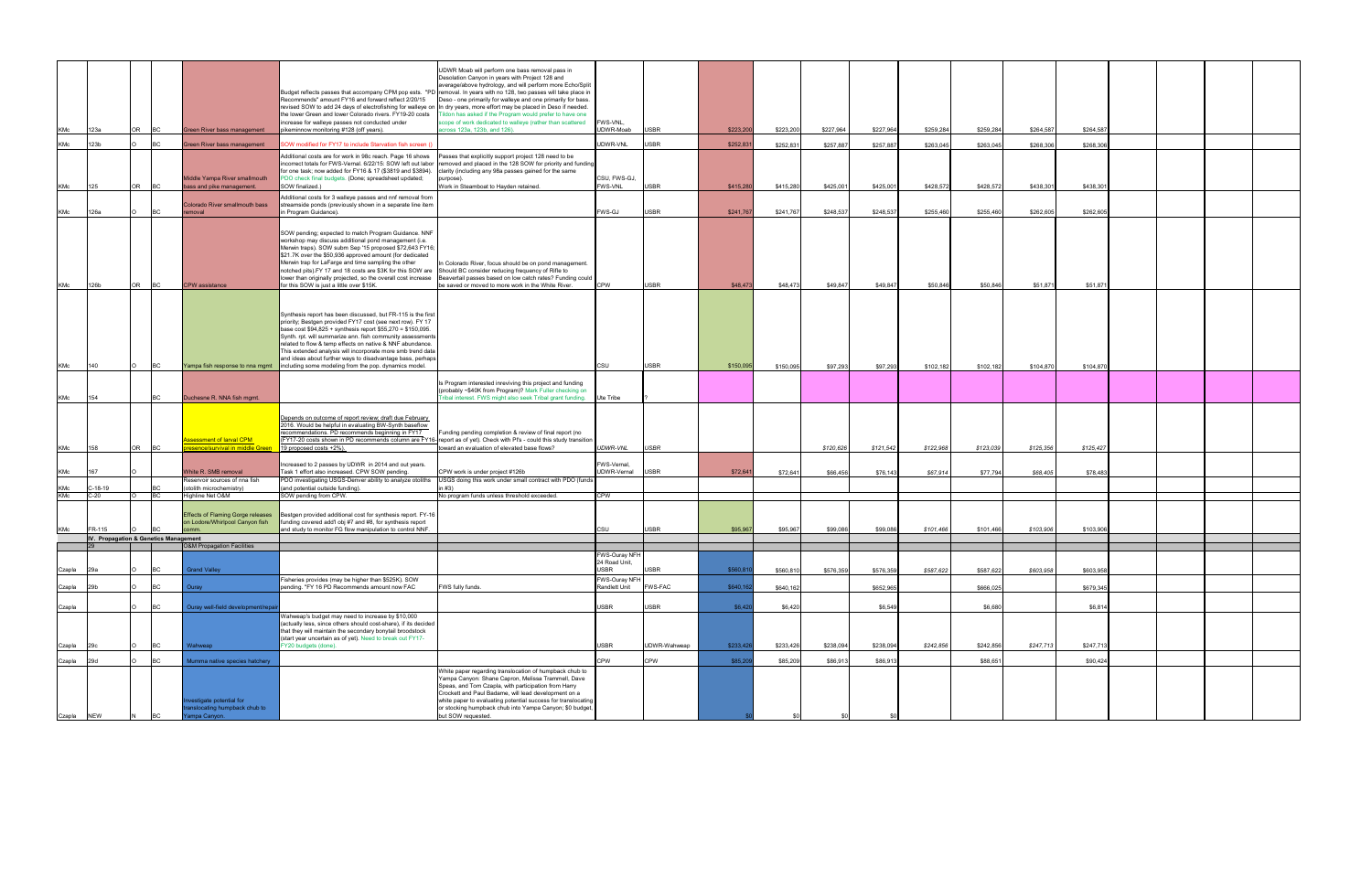| KMc        | 123a                                            | OR        |           | Green River bass management                                                 | Budget reflects passes that accompany CPM pop ests. "PD removal. In years with no 128, two passes will take place in<br>Recommends" amount FY16 and forward reflect 2/20/15<br>revised SOW to add 24 days of electrofishing for walleye on In dry years, more effort may be placed in Deso if needed.<br>the lower Green and lower Colorado rivers. FY19-20 costs<br>increase for walleye passes not conducted under<br>oikeminnow monitoring #128 (off years).                                                                                        | JDWR Moab will perform one bass removal pass in<br>Desolation Canyon in years with Project 128 and<br>average/above hydrology, and will perform more Echo/Split<br>Deso - one primarily for walleye and one primarily for bass.<br>Idon has asked if the Program would prefer to have one<br>cope of work dedicated to walleye (rather than scattered<br>cross 123a, 123b, and 126). | FWS-VNL.<br>UDWR-Moab          | <b>USBR</b>                | \$223,200             | \$223,20              | \$227,964            | \$227,964            | \$259,284             | \$259,284             | \$264,587             | \$264,587            |  |  |
|------------|-------------------------------------------------|-----------|-----------|-----------------------------------------------------------------------------|--------------------------------------------------------------------------------------------------------------------------------------------------------------------------------------------------------------------------------------------------------------------------------------------------------------------------------------------------------------------------------------------------------------------------------------------------------------------------------------------------------------------------------------------------------|--------------------------------------------------------------------------------------------------------------------------------------------------------------------------------------------------------------------------------------------------------------------------------------------------------------------------------------------------------------------------------------|--------------------------------|----------------------------|-----------------------|-----------------------|----------------------|----------------------|-----------------------|-----------------------|-----------------------|----------------------|--|--|
| KMc        | 123b                                            |           | ВC        | Green River bass management                                                 | OW modified for FY17 to include Starvation fish screen (                                                                                                                                                                                                                                                                                                                                                                                                                                                                                               |                                                                                                                                                                                                                                                                                                                                                                                      | JDWR-VNL                       | <b>USBR</b>                | \$252,831             | \$252,831             | \$257,887            | \$257,887            | \$263,045             | \$263,045             | \$268,306             | \$268,306            |  |  |
| KMc        | 125                                             | OR        | <b>BC</b> | Middle Yampa River smallmouth<br>bass and pike management.                  | Additional costs are for work in 98c reach. Page 16 shows<br>ncorrect totals for FWS-Vernal. 6/22/15: SOW left out labor<br>for one task; now added for FY16 & 17 (\$3819 and \$3894).<br>PDO check final budgets. (Done; spreadsheet updated;<br>SOW finalized.)                                                                                                                                                                                                                                                                                      | asses that explicitly support project 128 need to be<br>emoved and placed in the 128 SOW for priority and funding<br>larity (including any 98a passes gained for the same<br>urpose).<br>Work in Steamboat to Hayden retained.                                                                                                                                                       | CSU, FWS-GJ,<br><b>FWS-VNL</b> | <b>USBR</b>                | \$415,280             | \$415,28              | \$425,001            | \$425,00             | \$428,572             | \$428,572             | \$438,301             | \$438,30             |  |  |
|            |                                                 |           |           | Colorado River smallmouth bass                                              | dditional costs for 3 walleye passes and nnf removal from<br>streamside ponds (previously shown in a separate line item                                                                                                                                                                                                                                                                                                                                                                                                                                |                                                                                                                                                                                                                                                                                                                                                                                      |                                |                            |                       |                       |                      |                      |                       |                       |                       |                      |  |  |
| KMc        | 126a                                            |           |           | emoval                                                                      | Program Guidance).<br>SOW pending; expected to match Program Guidance. NNF<br>workshop may discuss additional pond management (i.e.<br>Merwin traps). SOW subm Sep '15 proposed \$72,643 FY16;<br>\$21.7K over the \$50,936 approved amount (for dedicated<br>Merwin trap for LaFarge and time sampling the other<br>notched pits).FY 17 and 18 costs are \$3K for this SOW are Should BC consider reducing frequency of Rifle to<br>lower than originally projected, so the overall cost increase                                                     | In Colorado River, focus should be on pond management.<br>Beavertail passes based on low catch rates? Funding could                                                                                                                                                                                                                                                                  | WS-GJ<br>CPW                   | <b>USBR</b><br><b>USBR</b> | \$241,767             | \$241,76              | \$248,537            | \$248,537            | \$255,460             | \$255,460             | \$262,605             | \$262,605            |  |  |
| KMc<br>KMc | 126b<br>140                                     | <b>OR</b> | ВC        | <b>CPW</b> assistance<br>Yampa fish response to nna mgmt                    | or this SOW is just a little over \$15K.<br>Synthesis report has been discussed, but FR-115 is the first<br>priority; Bestgen provided FY17 cost (see next row). FY 17<br>base cost \$94,825 + synthesis report \$55,270 = \$150,095.<br>Synth. rpt. will summarize ann. fish community assessments<br>related to flow & temp effects on native & NNF abundance.<br>This extended analysis will incorporate more smb trend data<br>and ideas about further ways to disadvantage bass, perhaps<br>including some modeling from the pop. dynamics model. | e saved or moved to more work in the White River.                                                                                                                                                                                                                                                                                                                                    | CSU                            | <b>USBR</b>                | \$48,473<br>\$150,095 | \$48,473<br>\$150,095 | \$49,847<br>\$97,293 | \$49,847<br>\$97,293 | \$50,846<br>\$102,182 | \$50,846<br>\$102,182 | \$51,871<br>\$104,870 | \$51,871<br>\$104,87 |  |  |
| <b>KMc</b> | 154                                             |           | ВC        | Duchesne R. NNA fish mgmt.                                                  |                                                                                                                                                                                                                                                                                                                                                                                                                                                                                                                                                        | Is Program interested inreviving this project and funding<br>(probably ~\$40K from Program)? Mark Fuller checking on<br>ibal interest. FWS might also seek Tribal grant funding. Ute Tribe                                                                                                                                                                                           |                                |                            |                       |                       |                      |                      |                       |                       |                       |                      |  |  |
| KMc        | 158                                             | OR        |           | <u>ssessment of larval CPM_</u><br><u>resence/survival in middle Green</u>  | Depends on outcome of report review; draft due February<br>2016. Would be helpful in evaluating BW-Synth baseflow<br>recommendations. PD recommends beginning in FY17<br>(FY17-20 costs shown in PD recommends column are FY16-report as of yet). Check with PI's - could this study transition<br>19 proposed costs +2%).                                                                                                                                                                                                                             | Funding pending completion & review of final report (no<br>oward an evaluation of elevated base flows?                                                                                                                                                                                                                                                                               | <i><b>IDWR-VNL</b></i>         | <b>USBR</b>                |                       |                       | \$120,626            | \$121,542            | \$122,968             | \$123,039             | \$125,356             | \$125,427            |  |  |
| KMc        | 167                                             |           |           | White R. SMB removal<br>Reservoir sources of nna fish                       | Increased to 2 passes by UDWR in 2014 and out years.<br>Task 1 effort also increased. CPW SOW pending.<br>PDO investigating USGS-Denver ability to analyze otoliths                                                                                                                                                                                                                                                                                                                                                                                    | CPW work is under project #126b<br>JSGS doing this work under small contract with PDO (funds                                                                                                                                                                                                                                                                                         | FWS-Vernal,<br>UDWR-Vernal     | <b>USBR</b>                | \$72,641              | \$72,641              | \$66,456             | \$76,143             | \$67,914              | \$77,794              | \$68,405              | \$78,483             |  |  |
| KMc<br>KMc | $C-18-19$<br>$C-20$                             |           | BC        | (otolith microchemistry)<br>Highline Net O&M                                | (and potential outside funding).<br>OW pending from CPW.                                                                                                                                                                                                                                                                                                                                                                                                                                                                                               | (43 ו<br>No program funds unless threshold exceeded.                                                                                                                                                                                                                                                                                                                                 | CPW                            |                            |                       |                       |                      |                      |                       |                       |                       |                      |  |  |
| KMc        | FR-115<br>IV. Propagation & Genetics Management |           |           | <b>Effects of Flaming Gorge releases</b><br>on Lodore/Whirlpool Canyon fish | Bestgen provided additional cost for synthesis report. FY-16<br>funding covered add'l obj #7 and #8, for synthesis report<br>and study to monitor FG flow manipulation to control NNF.                                                                                                                                                                                                                                                                                                                                                                 |                                                                                                                                                                                                                                                                                                                                                                                      | CSU                            | <b>USBR</b>                | \$95,967              | \$95,96               | \$99,086             | \$99,08              | \$101,466             | \$101,466             | \$103,906             | \$103,906            |  |  |
|            |                                                 |           |           | <b>O&amp;M Propagation Facilities</b>                                       |                                                                                                                                                                                                                                                                                                                                                                                                                                                                                                                                                        |                                                                                                                                                                                                                                                                                                                                                                                      | WS-Ouray NFH                   |                            |                       |                       |                      |                      |                       |                       |                       |                      |  |  |
| Czapla     | 29a                                             |           | <b>BC</b> | <b>Grand Valley</b>                                                         |                                                                                                                                                                                                                                                                                                                                                                                                                                                                                                                                                        |                                                                                                                                                                                                                                                                                                                                                                                      | 24 Road Unit,<br><b>SBR</b>    | <b>USBR</b>                | \$560,81              | \$560,81              | \$576,359            | \$576,35             | \$587,622             | \$587,622             | \$603,958             | \$603,95             |  |  |
| Czapla     | 29b                                             |           |           | Ouray                                                                       | Fisheries provides (may be higher than \$525K). SOW<br>pending. "FY 16 PD Recommends amount now FAC                                                                                                                                                                                                                                                                                                                                                                                                                                                    | FWS fully funds.                                                                                                                                                                                                                                                                                                                                                                     | WS-Ouray NFH<br>andlett Unit   | FWS-FAC                    | \$640,16              | \$640,162             |                      | \$652,965            |                       | \$666,025             |                       | \$679,34             |  |  |
| Czapla     |                                                 |           |           | Ouray well-field development/rep                                            | Wahweap's budget may need to increase by \$10,000                                                                                                                                                                                                                                                                                                                                                                                                                                                                                                      |                                                                                                                                                                                                                                                                                                                                                                                      | <b>SBR</b>                     | <b>USBR</b>                | \$6,420               | \$6,420               |                      | \$6,549              |                       | \$6,680               |                       | \$6,81               |  |  |
| Czapla     |                                                 |           | BC.       | Vahweap                                                                     | (actually less, since others should cost-share), if its decided<br>that they will maintain the secondary bonytail broodstock<br>(start year uncertain as of yet). Need to break out FY17-<br>Y20 budgets (done).                                                                                                                                                                                                                                                                                                                                       |                                                                                                                                                                                                                                                                                                                                                                                      | <b>SBR</b>                     | UDWR-Wahweap               | \$233,42              | \$233,426             | \$238,094            | \$238,094            | \$242,856             | \$242,856             | \$247,713             | \$247,71             |  |  |
| Czapla     | 29d                                             |           |           | Mumma native species hatchery                                               |                                                                                                                                                                                                                                                                                                                                                                                                                                                                                                                                                        |                                                                                                                                                                                                                                                                                                                                                                                      | <b>CPW</b>                     | CPW                        | \$85,20               | \$85,20               | \$86,913             | \$86,913             |                       | \$88,65               |                       | \$90,424             |  |  |
| Czapla NEW |                                                 |           |           | estigate potential for<br>nslocating humpback chub to<br>ampa Canyon.       |                                                                                                                                                                                                                                                                                                                                                                                                                                                                                                                                                        | White paper regarding translocation of humpback chub to<br>Yampa Canyon: Shane Capron, Melissa Trammell, Dave<br>Speas, and Tom Czapla, with participation from Harry<br>Crockett and Paul Badame, will lead development on a<br>white paper to evaluating potential success for translocating<br>or stocking humpback chub into Yampa Canyon; \$0 budget<br>out SOW requested.      |                                |                            |                       |                       |                      |                      |                       |                       |                       |                      |  |  |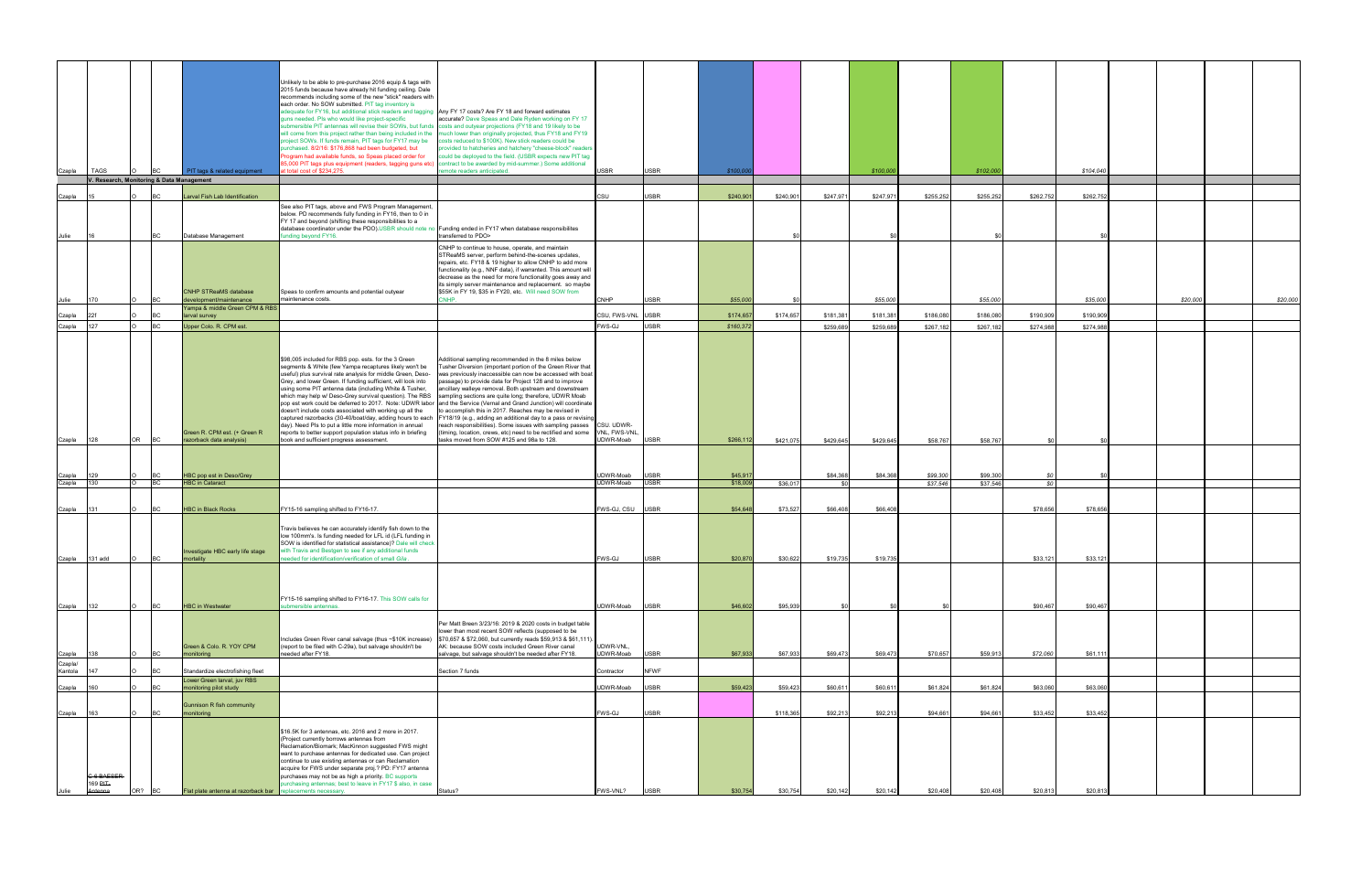|                  |                                           |           |                                                                 | Unlikely to be able to pre-purchase 2016 equip & tags with                                                                                                       |                                                                                                                                                                                                 |                        |                            |                    |           |           |           |                      |                      |               |           |          |          |
|------------------|-------------------------------------------|-----------|-----------------------------------------------------------------|------------------------------------------------------------------------------------------------------------------------------------------------------------------|-------------------------------------------------------------------------------------------------------------------------------------------------------------------------------------------------|------------------------|----------------------------|--------------------|-----------|-----------|-----------|----------------------|----------------------|---------------|-----------|----------|----------|
|                  |                                           |           |                                                                 | 2015 funds because have already hit funding ceiling. Dale<br>recommends including some of the new "stick" readers with                                           |                                                                                                                                                                                                 |                        |                            |                    |           |           |           |                      |                      |               |           |          |          |
|                  |                                           |           |                                                                 | each order. No SOW submitted. PIT tag inventory is                                                                                                               |                                                                                                                                                                                                 |                        |                            |                    |           |           |           |                      |                      |               |           |          |          |
|                  |                                           |           |                                                                 | adequate for FY16, but additional stick readers and tagging Any FY 17 costs? Are FY 18 and forward estimates<br>juns needed. Pls who would like project-specific | accurate? Dave Speas and Dale Ryden working on FY 17                                                                                                                                            |                        |                            |                    |           |           |           |                      |                      |               |           |          |          |
|                  |                                           |           |                                                                 | ubmersible PIT antennas will revise their SOWs, but funds costs and outyear projections (FY18 and 19 likely to be                                                |                                                                                                                                                                                                 |                        |                            |                    |           |           |           |                      |                      |               |           |          |          |
|                  |                                           |           |                                                                 | project SOWs. If funds remain, PIT tags for FY17 may be                                                                                                          | will come from this project rather than being included in the much lower than originally projected, thus FY18 and FY19<br>osts reduced to \$100K). New stick readers could be                   |                        |                            |                    |           |           |           |                      |                      |               |           |          |          |
|                  |                                           |           |                                                                 | urchased. 8/2/16: \$176,868 had been budgeted, but                                                                                                               | rovided to hatcheries and hatchery "cheese-block" readers                                                                                                                                       |                        |                            |                    |           |           |           |                      |                      |               |           |          |          |
|                  |                                           |           |                                                                 | rogram had available funds, so Speas placed order for<br>5,000 PIT tags plus equipment (readers, tagging guns etc)                                               | build be deployed to the field. (USBR expects new PIT tag<br>intract to be awarded by mid-summer.) Some additional                                                                              |                        |                            |                    |           |           |           |                      |                      |               |           |          |          |
| Czapla           | <b>TAGS</b>                               |           | PIT tags & related equipment                                    | t total cost of \$234,275.                                                                                                                                       | note readers anticipated.                                                                                                                                                                       | <b>SBR</b>             | <b>USBR</b>                | \$100,00           |           |           | \$100,000 |                      | \$102,000            |               | \$104,040 |          |          |
|                  | V. Research, Monitoring & Data Management |           |                                                                 |                                                                                                                                                                  |                                                                                                                                                                                                 |                        |                            |                    |           |           |           |                      |                      |               |           |          |          |
| Czapla           |                                           |           | Larval Fish Lab Identification                                  |                                                                                                                                                                  |                                                                                                                                                                                                 | CSU.                   | <b>USBR</b>                | \$240,901          | \$240,90  | \$247,97  | \$247,97  | \$255,252            | \$255,252            | \$262,752     | \$262,75  |          |          |
|                  |                                           |           |                                                                 | See also PIT tags, above and FWS Program Management,                                                                                                             |                                                                                                                                                                                                 |                        |                            |                    |           |           |           |                      |                      |               |           |          |          |
|                  |                                           |           |                                                                 | below. PD recommends fully funding in FY16, then to 0 in<br>FY 17 and beyond (shifting these responsibilities to a                                               |                                                                                                                                                                                                 |                        |                            |                    |           |           |           |                      |                      |               |           |          |          |
|                  |                                           |           |                                                                 | database coordinator under the PDO).USBR should note no Funding ended in FY17 when database responsibilites                                                      |                                                                                                                                                                                                 |                        |                            |                    |           |           |           |                      |                      |               |           |          |          |
| Julie            |                                           | <b>BC</b> | Database Management                                             | nding beyond FY16.                                                                                                                                               | transferred to PDO>                                                                                                                                                                             |                        |                            |                    |           |           |           |                      |                      |               |           |          |          |
|                  |                                           |           |                                                                 |                                                                                                                                                                  | CNHP to continue to house, operate, and maintain<br>STReaMS server, perform behind-the-scenes updates,                                                                                          |                        |                            |                    |           |           |           |                      |                      |               |           |          |          |
|                  |                                           |           |                                                                 |                                                                                                                                                                  | repairs, etc. FY18 & 19 higher to allow CNHP to add more                                                                                                                                        |                        |                            |                    |           |           |           |                      |                      |               |           |          |          |
|                  |                                           |           |                                                                 |                                                                                                                                                                  | functionality (e.g., NNF data), if warranted. This amount will<br>decrease as the need for more functionality goes away and                                                                     |                        |                            |                    |           |           |           |                      |                      |               |           |          |          |
|                  |                                           |           |                                                                 |                                                                                                                                                                  | its simply server maintenance and replacement. so maybe                                                                                                                                         |                        |                            |                    |           |           |           |                      |                      |               |           |          |          |
| Julie            | 170                                       | BC.       | <b>CNHP STReaMS database</b><br>development/maintenance         | Speas to confirm amounts and potential outyear<br>maintenance costs.                                                                                             | \$55K in FY 19, \$35 in FY20, etc. Will need SOW from<br>CNHP.                                                                                                                                  | CNHP                   | <b>USBR</b>                | \$55,000           |           |           | \$55,000  |                      | \$55,000             |               | \$35,000  | \$20,000 | \$20,000 |
|                  |                                           |           | Yampa & middle Green CPM & RBS                                  |                                                                                                                                                                  |                                                                                                                                                                                                 |                        |                            |                    |           |           |           |                      |                      |               |           |          |          |
| Czapla           |                                           | BC.       | larval survey                                                   |                                                                                                                                                                  |                                                                                                                                                                                                 | SU, FWS-VNL            | <b>USBR</b>                | \$174,657          | \$174,657 | \$181,38  | \$181,38  | \$186,080            | \$186,080            | \$190,909     | \$190,909 |          |          |
| Czapla           | 127                                       |           | Upper Colo. R. CPM est.                                         |                                                                                                                                                                  |                                                                                                                                                                                                 | WS-GJ                  | <b>USBR</b>                | \$160,372          |           | \$259,689 | \$259,689 | \$267,182            | \$267,182            | \$274,988     | \$274,98  |          |          |
|                  |                                           |           |                                                                 |                                                                                                                                                                  |                                                                                                                                                                                                 |                        |                            |                    |           |           |           |                      |                      |               |           |          |          |
|                  |                                           |           |                                                                 |                                                                                                                                                                  |                                                                                                                                                                                                 |                        |                            |                    |           |           |           |                      |                      |               |           |          |          |
|                  |                                           |           |                                                                 | \$98,005 included for RBS pop. ests. for the 3 Green<br>segments & White (few Yampa recaptures likely won't be                                                   | Additional sampling recommended in the 8 miles below<br>Tusher Diversion (important portion of the Green River that                                                                             |                        |                            |                    |           |           |           |                      |                      |               |           |          |          |
|                  |                                           |           |                                                                 | useful) plus survival rate analysis for middle Green, Deso-<br>Grey, and lower Green. If funding sufficient, will look into                                      | was previously inaccessible can now be accessed with boat<br>passage) to provide data for Project 128 and to improve                                                                            |                        |                            |                    |           |           |           |                      |                      |               |           |          |          |
|                  |                                           |           |                                                                 | using some PIT antenna data (including White & Tusher,                                                                                                           | ancillary walleye removal. Both upstream and downstream                                                                                                                                         |                        |                            |                    |           |           |           |                      |                      |               |           |          |          |
|                  |                                           |           |                                                                 | which may help w/ Deso-Grey survival question). The RBS sampling sections are quite long; therefore, UDWR Moab                                                   | pop est work could be deferred to 2017. Note: UDWR labor and the Service (Vernal and Grand Junction) will coordinate                                                                            |                        |                            |                    |           |           |           |                      |                      |               |           |          |          |
|                  |                                           |           |                                                                 | doesn't include costs associated with working up all the                                                                                                         | to accomplish this in 2017. Reaches may be revised in                                                                                                                                           |                        |                            |                    |           |           |           |                      |                      |               |           |          |          |
|                  |                                           |           |                                                                 | day). Need PIs to put a little more information in annual                                                                                                        | captured razorbacks (30-40/boat/day, adding hours to each FY18/19 (e.g., adding an additional day to a pass or revising<br>reach responsibilities). Some issues with sampling passes CSU. UDWR- |                        |                            |                    |           |           |           |                      |                      |               |           |          |          |
|                  |                                           |           | Green R. CPM est. (+ Green R                                    | reports to better support population status info in briefing                                                                                                     | (timing, location, crews, etc) need to be rectified and some                                                                                                                                    | VNL, FWS-VNL           |                            |                    |           |           |           |                      |                      |               |           |          |          |
| Czapla           | OR<br>128                                 | <b>BC</b> | razorback data analysis)                                        | book and sufficient progress assessment.                                                                                                                         | tasks moved from SOW #125 and 98a to 128.                                                                                                                                                       | JDWR-Moab              | <b>USBR</b>                | \$266,112          | \$421,075 | \$429,645 | \$429,645 | \$58,767             | \$58,767             |               |           |          |          |
|                  |                                           |           |                                                                 |                                                                                                                                                                  |                                                                                                                                                                                                 |                        |                            |                    |           |           |           |                      |                      |               |           |          |          |
|                  |                                           |           |                                                                 |                                                                                                                                                                  |                                                                                                                                                                                                 |                        |                            |                    |           |           |           |                      |                      |               |           |          |          |
| Czapla<br>Czapla | 129<br>130                                | ВC        | HBC pop est in Deso/Grey<br><b>HBC</b> in Cataract              |                                                                                                                                                                  |                                                                                                                                                                                                 | JDWR-Moab<br>DWR-Moab  | <b>USBR</b><br><b>USBR</b> | \$45,91<br>\$18,00 | \$36,01   | \$84,368  | \$84,368  | \$99,300<br>\$37,546 | \$99,300<br>\$37,546 | - SC<br>- \$0 |           |          |          |
|                  |                                           |           |                                                                 |                                                                                                                                                                  |                                                                                                                                                                                                 |                        |                            |                    |           |           |           |                      |                      |               |           |          |          |
|                  |                                           |           |                                                                 |                                                                                                                                                                  |                                                                                                                                                                                                 |                        |                            |                    |           |           |           |                      |                      |               |           |          |          |
| Czapla           | 131                                       | BC        | <b>HBC in Black Rocks</b>                                       | FY15-16 sampling shifted to FY16-17.                                                                                                                             |                                                                                                                                                                                                 | WS-GJ, CSU             | <b>USBR</b>                | \$54,648           | \$73,527  | \$66,408  | \$66,408  |                      |                      | \$78,656      | \$78,656  |          |          |
|                  |                                           |           |                                                                 | Travis believes he can accurately identify fish down to the                                                                                                      |                                                                                                                                                                                                 |                        |                            |                    |           |           |           |                      |                      |               |           |          |          |
|                  |                                           |           |                                                                 | low 100mm's. Is funding needed for LFL id (LFL funding in                                                                                                        |                                                                                                                                                                                                 |                        |                            |                    |           |           |           |                      |                      |               |           |          |          |
|                  |                                           |           | Investigate HBC early life stage                                | SOW is identified for statistical assistance)? Dale will check<br>with Travis and Bestgen to see if any additional funds                                         |                                                                                                                                                                                                 |                        |                            |                    |           |           |           |                      |                      |               |           |          |          |
| Czapla 131 add   | $\circ$                                   | <b>BC</b> | mortality                                                       | eeded for identification/verification of small Gila                                                                                                              |                                                                                                                                                                                                 | <b>FWS-GJ</b>          | <b>USBR</b>                | \$20,870           | \$30.622  | \$19.735  | \$19.735  |                      |                      | \$33.121      | \$33.121  |          |          |
|                  |                                           |           |                                                                 |                                                                                                                                                                  |                                                                                                                                                                                                 |                        |                            |                    |           |           |           |                      |                      |               |           |          |          |
|                  |                                           |           |                                                                 |                                                                                                                                                                  |                                                                                                                                                                                                 |                        |                            |                    |           |           |           |                      |                      |               |           |          |          |
|                  |                                           |           |                                                                 | FY15-16 sampling shifted to FY16-17. This SOW calls for                                                                                                          |                                                                                                                                                                                                 |                        |                            |                    |           |           |           |                      |                      |               |           |          |          |
| Czapla           | 132                                       | BC.       | <b>HBC in Westwater</b>                                         | <b>ibmersible antennas</b>                                                                                                                                       |                                                                                                                                                                                                 | JDWR-Moab              | <b>USBR</b>                | \$46,602           | \$95,939  |           |           |                      |                      | \$90,467      | \$90,467  |          |          |
|                  |                                           |           |                                                                 |                                                                                                                                                                  |                                                                                                                                                                                                 |                        |                            |                    |           |           |           |                      |                      |               |           |          |          |
|                  |                                           |           |                                                                 |                                                                                                                                                                  | Per Matt Breen 3/23/16: 2019 & 2020 costs in budget table<br>lower than most recent SOW reflects (supposed to be                                                                                |                        |                            |                    |           |           |           |                      |                      |               |           |          |          |
|                  |                                           |           |                                                                 |                                                                                                                                                                  | Includes Green River canal salvage (thus ~\$10K increase) \$70,657 & \$72,060, but currently reads \$59,913 & \$61,111)                                                                         |                        |                            |                    |           |           |           |                      |                      |               |           |          |          |
| Czapla           | 138                                       |           | Green & Colo. R. YOY CPM<br>nonitoring                          | (report to be filed with C-29a), but salvage shouldn't be<br>eeded after FY18.                                                                                   | AK: because SOW costs included Green River canal<br>salvage, but salvage shouldn't be needed after FY18.                                                                                        | UDWR-VNL.<br>UDWR-Moab | <b>USBR</b>                | \$67,933           | \$67,933  | \$69,473  | \$69,473  | \$70,657             | \$59,913             | \$72,060      | \$61,111  |          |          |
| Czapla/          |                                           |           |                                                                 |                                                                                                                                                                  |                                                                                                                                                                                                 |                        |                            |                    |           |           |           |                      |                      |               |           |          |          |
| Kantola          |                                           |           | Standardize electrofishing fleet<br>Lower Green larval, juv RBS |                                                                                                                                                                  | Section 7 funds                                                                                                                                                                                 | ontractor              | <b>NFWF</b>                |                    |           |           |           |                      |                      |               |           |          |          |
| Czapla           | 160                                       |           | monitoring pilot study                                          |                                                                                                                                                                  |                                                                                                                                                                                                 | JDWR-Moab              | USBR                       | \$59,423           | \$59,423  | \$60,61   | \$60,61   | \$61,824             | \$61,824             | \$63,060      | \$63,060  |          |          |
| Czapla           | 163                                       | <b>BC</b> | Gunnison R fish community<br>monitoring                         |                                                                                                                                                                  |                                                                                                                                                                                                 | WS-GJ                  | <b>USBR</b>                |                    | \$118,365 | \$92,213  | \$92,213  | \$94.661             | \$94.661             | \$33,452      | \$33,452  |          |          |
|                  |                                           |           |                                                                 |                                                                                                                                                                  |                                                                                                                                                                                                 |                        |                            |                    |           |           |           |                      |                      |               |           |          |          |
|                  |                                           |           |                                                                 | \$16.5K for 3 antennas, etc. 2016 and 2 more in 2017.<br>(Project currently borrows antennas from                                                                |                                                                                                                                                                                                 |                        |                            |                    |           |           |           |                      |                      |               |           |          |          |
|                  |                                           |           |                                                                 | Reclamation/Biomark; MacKinnon suggested FWS might                                                                                                               |                                                                                                                                                                                                 |                        |                            |                    |           |           |           |                      |                      |               |           |          |          |
|                  |                                           |           |                                                                 | want to purchase antennas for dedicated use. Can project<br>continue to use existing antennas or can Reclamation                                                 |                                                                                                                                                                                                 |                        |                            |                    |           |           |           |                      |                      |               |           |          |          |
|                  |                                           |           |                                                                 | acquire for FWS under separate proj.? PD: FY17 antenna                                                                                                           |                                                                                                                                                                                                 |                        |                            |                    |           |           |           |                      |                      |               |           |          |          |
|                  | <b>C-6 BAESER</b><br>169 PIT-             |           |                                                                 | purchases may not be as high a priority. BC supports<br>urchasing antennas; best to leave in FY17 \$ also, in case                                               |                                                                                                                                                                                                 |                        |                            |                    |           |           |           |                      |                      |               |           |          |          |
|                  | OR?<br>Antenna                            |           | Flat plate antenna at razorback bar                             | placements necessary.                                                                                                                                            | Status?                                                                                                                                                                                         | FWS-VNL?               | <b>USBR</b>                | \$30,754           | \$30,754  | \$20,142  | \$20,142  | \$20,408             | \$20,408             | \$20,813      | \$20,813  |          |          |